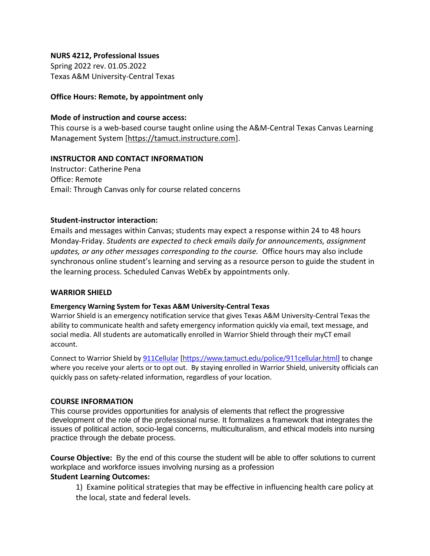### **NURS 4212, Professional Issues**

Spring 2022 rev. 01.05.2022 Texas A&M University-Central Texas

### **Office Hours: Remote, by appointment only**

#### **Mode of instruction and course access:**

This course is a web-based course taught online using the A&M-Central Texas Canvas Learning Management System [\[https://tamuct.instructure.com\]](https://tamuct.instructure.com/).

### **INSTRUCTOR AND CONTACT INFORMATION**

Instructor: Catherine Pena Office: Remote Email: Through Canvas only for course related concerns

### **Student-instructor interaction:**

Emails and messages within Canvas; students may expect a response within 24 to 48 hours Monday-Friday. *Students are expected to check emails daily for announcements, assignment updates, or any other messages corresponding to the course.* Office hours may also include synchronous online student's learning and serving as a resource person to guide the student in the learning process. Scheduled Canvas WebEx by appointments only.

#### **WARRIOR SHIELD**

#### **Emergency Warning System for Texas A&M University-Central Texas**

Warrior Shield is an emergency notification service that gives Texas A&M University-Central Texas the ability to communicate health and safety emergency information quickly via email, text message, and social media. All students are automatically enrolled in Warrior Shield through their myCT email account.

Connect to Warrior Shield b[y 911Cellular](https://www.tamuct.edu/police/911cellular.html) [<https://www.tamuct.edu/police/911cellular.html>] to change where you receive your alerts or to opt out. By staying enrolled in Warrior Shield, university officials can quickly pass on safety-related information, regardless of your location.

#### **COURSE INFORMATION**

This course provides opportunities for analysis of elements that reflect the progressive development of the role of the professional nurse. It formalizes a framework that integrates the issues of political action, socio-legal concerns, multiculturalism, and ethical models into nursing practice through the debate process.

**Course Objective:** By the end of this course the student will be able to offer solutions to current workplace and workforce issues involving nursing as a profession

## **Student Learning Outcomes:**

1) Examine political strategies that may be effective in influencing health care policy at the local, state and federal levels.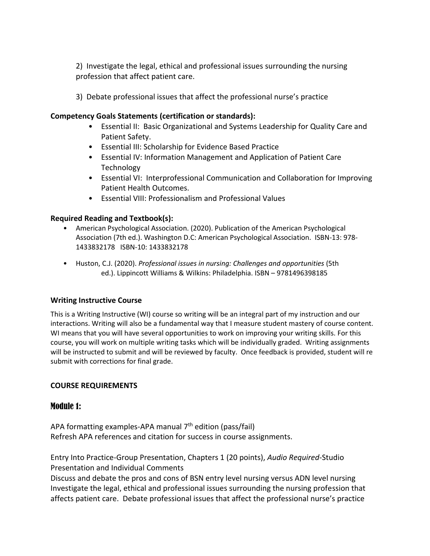2) Investigate the legal, ethical and professional issues surrounding the nursing profession that affect patient care.

3) Debate professional issues that affect the professional nurse's practice

## **Competency Goals Statements (certification or standards):**

- Essential II: Basic Organizational and Systems Leadership for Quality Care and Patient Safety.
- Essential III: Scholarship for Evidence Based Practice
- Essential IV: Information Management and Application of Patient Care Technology
- Essential VI: Interprofessional Communication and Collaboration for Improving Patient Health Outcomes.
- Essential VIII: Professionalism and Professional Values

## **Required Reading and Textbook(s):**

- American Psychological Association. (2020). Publication of the American Psychological Association (7th ed.). Washington D.C: American Psychological Association. ISBN-13: 978- 1433832178 ISBN-10: 1433832178
- Huston, C.J. (2020). *Professional issues in nursing: Challenges and opportunities* (5th ed.). Lippincott Williams & Wilkins: Philadelphia. ISBN – 9781496398185

## **Writing Instructive Course**

This is a Writing Instructive (WI) course so writing will be an integral part of my instruction and our interactions. Writing will also be a fundamental way that I measure student mastery of course content. WI means that you will have several opportunities to work on improving your writing skills. For this course, you will work on multiple writing tasks which will be individually graded. Writing assignments will be instructed to submit and will be reviewed by faculty. Once feedback is provided, student will re submit with corrections for final grade.

## **COURSE REQUIREMENTS**

## Module 1:

APA formatting examples-APA manual  $7<sup>th</sup>$  edition (pass/fail) Refresh APA references and citation for success in course assignments.

Entry Into Practice-Group Presentation, Chapters 1 (20 points), *Audio Required*-Studio Presentation and Individual Comments

Discuss and debate the pros and cons of BSN entry level nursing versus ADN level nursing Investigate the legal, ethical and professional issues surrounding the nursing profession that affects patient care. Debate professional issues that affect the professional nurse's practice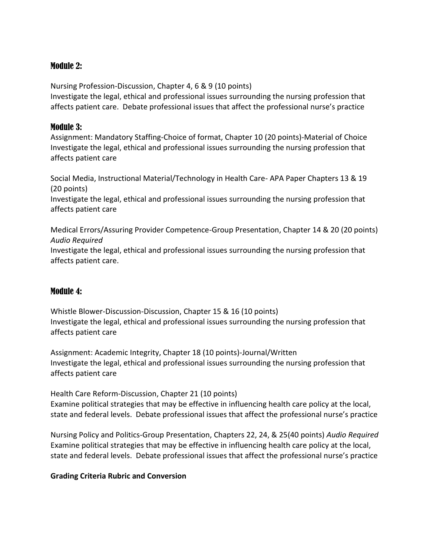# Module 2:

Nursing Profession-Discussion, Chapter 4, 6 & 9 (10 points) Investigate the legal, ethical and professional issues surrounding the nursing profession that affects patient care. Debate professional issues that affect the professional nurse's practice

# Module 3:

Assignment: Mandatory Staffing-Choice of format, Chapter 10 (20 points)-Material of Choice Investigate the legal, ethical and professional issues surrounding the nursing profession that affects patient care

Social Media, Instructional Material/Technology in Health Care- APA Paper Chapters 13 & 19 (20 points)

Investigate the legal, ethical and professional issues surrounding the nursing profession that affects patient care

Medical Errors/Assuring Provider Competence-Group Presentation, Chapter 14 & 20 (20 points) *Audio Required*

Investigate the legal, ethical and professional issues surrounding the nursing profession that affects patient care.

# Module 4:

Whistle Blower-Discussion-Discussion, Chapter 15 & 16 (10 points) Investigate the legal, ethical and professional issues surrounding the nursing profession that affects patient care

Assignment: Academic Integrity, Chapter 18 (10 points)-Journal/Written Investigate the legal, ethical and professional issues surrounding the nursing profession that affects patient care

Health Care Reform-Discussion, Chapter 21 (10 points) Examine political strategies that may be effective in influencing health care policy at the local, state and federal levels. Debate professional issues that affect the professional nurse's practice

Nursing Policy and Politics-Group Presentation, Chapters 22, 24, & 25(40 points) *Audio Required* Examine political strategies that may be effective in influencing health care policy at the local, state and federal levels. Debate professional issues that affect the professional nurse's practice

## **Grading Criteria Rubric and Conversion**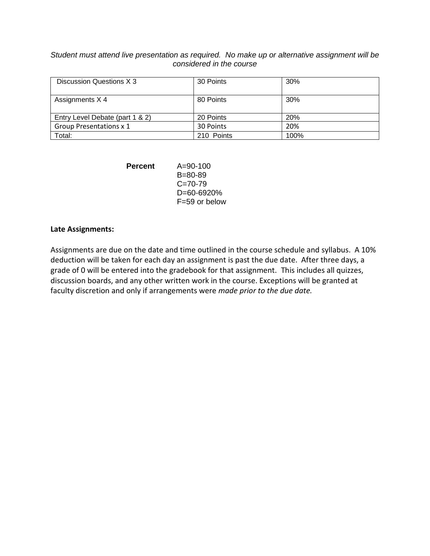*Student must attend live presentation as required. No make up or alternative assignment will be considered in the course* 

| Discussion Questions X 3        | 30 Points  | 30%  |
|---------------------------------|------------|------|
| Assignments X 4                 | 80 Points  | 30%  |
| Entry Level Debate (part 1 & 2) | 20 Points  | 20%  |
| <b>Group Presentations x 1</b>  | 30 Points  | 20%  |
| Total:                          | 210 Points | 100% |

| Percent | $A = 90 - 100$    |  |
|---------|-------------------|--|
|         | $B = 80 - 89$     |  |
|         | $C = 70 - 79$     |  |
|         | $D = 60 - 6920%$  |  |
|         | $F = 59$ or below |  |

#### **Late Assignments:**

Assignments are due on the date and time outlined in the course schedule and syllabus. A 10% deduction will be taken for each day an assignment is past the due date. After three days, a grade of 0 will be entered into the gradebook for that assignment. This includes all quizzes, discussion boards, and any other written work in the course. Exceptions will be granted at faculty discretion and only if arrangements were *made prior to the due date.*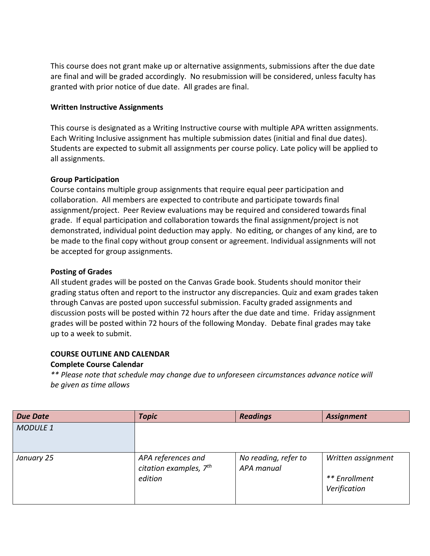This course does not grant make up or alternative assignments, submissions after the due date are final and will be graded accordingly. No resubmission will be considered, unless faculty has granted with prior notice of due date. All grades are final.

### **Written Instructive Assignments**

This course is designated as a Writing Instructive course with multiple APA written assignments. Each Writing Inclusive assignment has multiple submission dates (initial and final due dates). Students are expected to submit all assignments per course policy. Late policy will be applied to all assignments.

## **Group Participation**

Course contains multiple group assignments that require equal peer participation and collaboration. All members are expected to contribute and participate towards final assignment/project. Peer Review evaluations may be required and considered towards final grade. If equal participation and collaboration towards the final assignment/project is not demonstrated, individual point deduction may apply. No editing, or changes of any kind, are to be made to the final copy without group consent or agreement. Individual assignments will not be accepted for group assignments.

## **Posting of Grades**

All student grades will be posted on the Canvas Grade book. Students should monitor their grading status often and report to the instructor any discrepancies. Quiz and exam grades taken through Canvas are posted upon successful submission. Faculty graded assignments and discussion posts will be posted within 72 hours after the due date and time. Friday assignment grades will be posted within 72 hours of the following Monday. Debate final grades may take up to a week to submit.

## **COURSE OUTLINE AND CALENDAR Complete Course Calendar**

*\*\* Please note that schedule may change due to unforeseen circumstances advance notice will be given as time allows*

| <b>Due Date</b> | <b>Topic</b>                                  | <b>Readings</b>      | <b>Assignment</b>  |
|-----------------|-----------------------------------------------|----------------------|--------------------|
| <b>MODULE 1</b> |                                               |                      |                    |
| January 25      | APA references and                            | No reading, refer to | Written assignment |
|                 | citation examples, 7 <sup>th</sup><br>edition | APA manual           | ** Enrollment      |
|                 |                                               |                      | Verification       |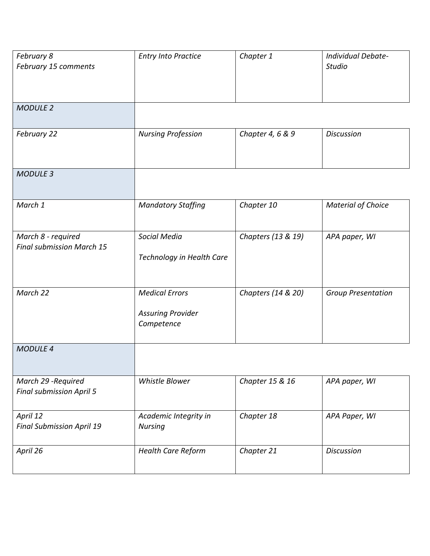| February 8<br>February 15 comments                     | <b>Entry Into Practice</b>                                      | Chapter 1          | Individual Debate-<br><b>Studio</b> |
|--------------------------------------------------------|-----------------------------------------------------------------|--------------------|-------------------------------------|
| <b>MODULE 2</b>                                        |                                                                 |                    |                                     |
| February 22                                            | <b>Nursing Profession</b>                                       | Chapter 4, 6 & 9   | <b>Discussion</b>                   |
| <b>MODULE 3</b>                                        |                                                                 |                    |                                     |
| March 1                                                | <b>Mandatory Staffing</b>                                       | Chapter 10         | <b>Material of Choice</b>           |
| March 8 - required<br><b>Final submission March 15</b> | Social Media<br>Technology in Health Care                       | Chapters (13 & 19) | APA paper, WI                       |
| March 22                                               | <b>Medical Errors</b><br><b>Assuring Provider</b><br>Competence | Chapters (14 & 20) | <b>Group Presentation</b>           |
| <b>MODULE 4</b>                                        |                                                                 |                    |                                     |
| March 29 - Required<br><b>Final submission April 5</b> | Whistle Blower                                                  | Chapter 15 & 16    | APA paper, WI                       |
| April 12<br><b>Final Submission April 19</b>           | Academic Integrity in<br><b>Nursing</b>                         | Chapter 18         | APA Paper, WI                       |
| April 26                                               | <b>Health Care Reform</b>                                       | Chapter 21         | <b>Discussion</b>                   |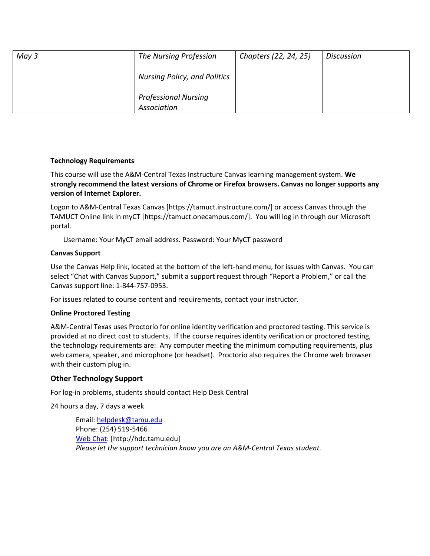| May 3 | The Nursing Profession                     | Chapters (22, 24, 25) | <b>Discussion</b> |
|-------|--------------------------------------------|-----------------------|-------------------|
|       | <b>Nursing Policy, and Politics</b>        |                       |                   |
|       | <b>Professional Nursing</b><br>Association |                       |                   |

### **Technology Requirements**

This course will use the A&M-Central Texas Instructure Canvas learning management system. **We strongly recommend the latest versions of Chrome or Firefox browsers. Canvas no longer supports any version of Internet Explorer.**

Logon to A&M-Central Texas Canvas [https://tamuct.instructure.com/] or access Canvas through the TAMUCT Online link in myCT [https://tamuct.onecampus.com/]. You will log in through our Microsoft portal.

Username: Your MyCT email address. Password: Your MyCT password

#### **Canvas Support**

Use the Canvas Help link, located at the bottom of the left-hand menu, for issues with Canvas. You can select "Chat with Canvas Support," submit a support request through "Report a Problem," or call the Canvas support line: 1-844-757-0953.

For issues related to course content and requirements, contact your instructor.

#### **Online Proctored Testing**

A&M-Central Texas uses Proctorio for online identity verification and proctored testing. This service is provided at no direct cost to students. If the course requires identity verification or proctored testing, the technology requirements are: Any computer meeting the minimum computing requirements, plus web camera, speaker, and microphone (or headset). Proctorio also requires the Chrome web browser with their custom plug in.

## **Other Technology Support**

For log-in problems, students should contact Help Desk Central

24 hours a day, 7 days a week

Email: [helpdesk@tamu.edu](mailto:helpdesk@tamu.edu) Phone: (254) 519-5466 [Web Chat:](http://hdc.tamu.edu/) [http://hdc.tamu.edu] *Please let the support technician know you are an A&M-Central Texas student.*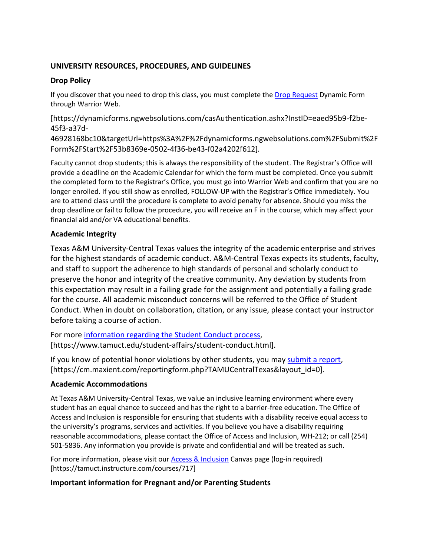## **UNIVERSITY RESOURCES, PROCEDURES, AND GUIDELINES**

## **Drop Policy**

If you discover that you need to drop this class, you must complete the [Drop Request](https://dynamicforms.ngwebsolutions.com/casAuthentication.ashx?InstID=eaed95b9-f2be-45f3-a37d-46928168bc10&targetUrl=https%3A%2F%2Fdynamicforms.ngwebsolutions.com%2FSubmit%2FForm%2FStart%2F53b8369e-0502-4f36-be43-f02a4202f612) Dynamic Form through Warrior Web.

[https://dynamicforms.ngwebsolutions.com/casAuthentication.ashx?InstID=eaed95b9-f2be-45f3-a37d-

46928168bc10&targetUrl=https%3A%2F%2Fdynamicforms.ngwebsolutions.com%2FSubmit%2F Form%2FStart%2F53b8369e-0502-4f36-be43-f02a4202f612].

Faculty cannot drop students; this is always the responsibility of the student. The Registrar's Office will provide a deadline on the Academic Calendar for which the form must be completed. Once you submit the completed form to the Registrar's Office, you must go into Warrior Web and confirm that you are no longer enrolled. If you still show as enrolled, FOLLOW-UP with the Registrar's Office immediately. You are to attend class until the procedure is complete to avoid penalty for absence. Should you miss the drop deadline or fail to follow the procedure, you will receive an F in the course, which may affect your financial aid and/or VA educational benefits.

## **Academic Integrity**

Texas A&M University-Central Texas values the integrity of the academic enterprise and strives for the highest standards of academic conduct. A&M-Central Texas expects its students, faculty, and staff to support the adherence to high standards of personal and scholarly conduct to preserve the honor and integrity of the creative community. Any deviation by students from this expectation may result in a failing grade for the assignment and potentially a failing grade for the course. All academic misconduct concerns will be referred to the Office of Student Conduct. When in doubt on collaboration, citation, or any issue, please contact your instructor before taking a course of action.

For more [information](https://nam04.safelinks.protection.outlook.com/?url=https%3A%2F%2Fwww.tamuct.edu%2Fstudent-affairs%2Fstudent-conduct.html&data=04%7C01%7Clisa.bunkowski%40tamuct.edu%7Ccfb6e486f24745f53e1a08d910055cb2%7C9eed4e3000f744849ff193ad8005acec%7C0%7C0%7C637558437485252160%7CUnknown%7CTWFpbGZsb3d8eyJWIjoiMC4wLjAwMDAiLCJQIjoiV2luMzIiLCJBTiI6Ik1haWwiLCJXVCI6Mn0%3D%7C1000&sdata=yjftDEVHvLX%2FhM%2FcFU0B99krV1RgEWR%2BJ%2BhvtoR6TYk%3D&reserved=0) regarding the Student Conduct process, [https://www.tamuct.edu/student-affairs/student-conduct.html].

If you know of potential honor violations by other students, you may [submit](https://nam04.safelinks.protection.outlook.com/?url=https%3A%2F%2Fcm.maxient.com%2Freportingform.php%3FTAMUCentralTexas%26layout_id%3D0&data=04%7C01%7Clisa.bunkowski%40tamuct.edu%7Ccfb6e486f24745f53e1a08d910055cb2%7C9eed4e3000f744849ff193ad8005acec%7C0%7C0%7C637558437485262157%7CUnknown%7CTWFpbGZsb3d8eyJWIjoiMC4wLjAwMDAiLCJQIjoiV2luMzIiLCJBTiI6Ik1haWwiLCJXVCI6Mn0%3D%7C1000&sdata=CXGkOa6uPDPX1IMZ87z3aZDq2n91xfHKu4MMS43Ejjk%3D&reserved=0) a report, [https://cm.maxient.com/reportingform.php?TAMUCentralTexas&layout\_id=0].

# **Academic Accommodations**

At Texas A&M University-Central Texas, we value an inclusive learning environment where every student has an equal chance to succeed and has the right to a barrier-free education. The Office of Access and Inclusion is responsible for ensuring that students with a disability receive equal access to the university's programs, services and activities. If you believe you have a disability requiring reasonable accommodations, please contact the Office of Access and Inclusion, WH-212; or call (254) 501-5836. Any information you provide is private and confidential and will be treated as such.

For more information, please visit our **Access & Inclusion** Canvas page (log-in required) [https://tamuct.instructure.com/courses/717]

# **Important information for Pregnant and/or Parenting Students**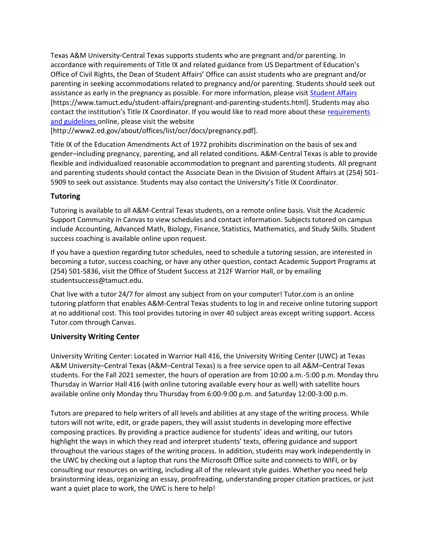Texas A&M University-Central Texas supports students who are pregnant and/or parenting. In accordance with requirements of Title IX and related guidance from US Department of Education's Office of Civil Rights, the Dean of Student Affairs' Office can assist students who are pregnant and/or parenting in seeking accommodations related to pregnancy and/or parenting. Students should seek out assistance as early in the pregnancy as possible. For more information, please visi[t Student Affairs](https://www.tamuct.edu/student-affairs/pregnant-and-parenting-students.html) [https://www.tamuct.edu/student-affairs/pregnant-and-parenting-students.html]. Students may also contact the institution's Title IX Coordinator. If you would like to read more about these [requirements](http://www2.ed.gov/about/offices/list/ocr/docs/pregnancy.pdf)  [and guidelines](http://www2.ed.gov/about/offices/list/ocr/docs/pregnancy.pdf) online, please visit the website

[http://www2.ed.gov/about/offices/list/ocr/docs/pregnancy.pdf].

Title IX of the Education Amendments Act of 1972 prohibits discrimination on the basis of sex and gender–including pregnancy, parenting, and all related conditions. A&M-Central Texas is able to provide flexible and individualized reasonable accommodation to pregnant and parenting students. All pregnant and parenting students should contact the Associate Dean in the Division of Student Affairs at (254) 501- 5909 to seek out assistance. Students may also contact the University's Title IX Coordinator.

## **Tutoring**

Tutoring is available to all A&M-Central Texas students, on a remote online basis. Visit the Academic Support Community in Canvas to view schedules and contact information. Subjects tutored on campus include Accounting, Advanced Math, Biology, Finance, Statistics, Mathematics, and Study Skills. Student success coaching is available online upon request.

If you have a question regarding tutor schedules, need to schedule a tutoring session, are interested in becoming a tutor, success coaching, or have any other question, contact Academic Support Programs at (254) 501-5836, visit the Office of Student Success at 212F Warrior Hall, or by emailing studentsuccess@tamuct.edu.

Chat live with a tutor 24/7 for almost any subject from on your computer! Tutor.com is an online tutoring platform that enables A&M-Central Texas students to log in and receive online tutoring support at no additional cost. This tool provides tutoring in over 40 subject areas except writing support. Access Tutor.com through Canvas.

# **University Writing Center**

University Writing Center: Located in Warrior Hall 416, the University Writing Center (UWC) at Texas A&M University–Central Texas (A&M–Central Texas) is a free service open to all A&M–Central Texas students. For the Fall 2021 semester, the hours of operation are from 10:00 a.m.-5:00 p.m. Monday thru Thursday in Warrior Hall 416 (with online tutoring available every hour as well) with satellite hours available online only Monday thru Thursday from 6:00-9:00 p.m. and Saturday 12:00-3:00 p.m.

Tutors are prepared to help writers of all levels and abilities at any stage of the writing process. While tutors will not write, edit, or grade papers, they will assist students in developing more effective composing practices. By providing a practice audience for students' ideas and writing, our tutors highlight the ways in which they read and interpret students' texts, offering guidance and support throughout the various stages of the writing process. In addition, students may work independently in the UWC by checking out a laptop that runs the Microsoft Office suite and connects to WIFI, or by consulting our resources on writing, including all of the relevant style guides. Whether you need help brainstorming ideas, organizing an essay, proofreading, understanding proper citation practices, or just want a quiet place to work, the UWC is here to help!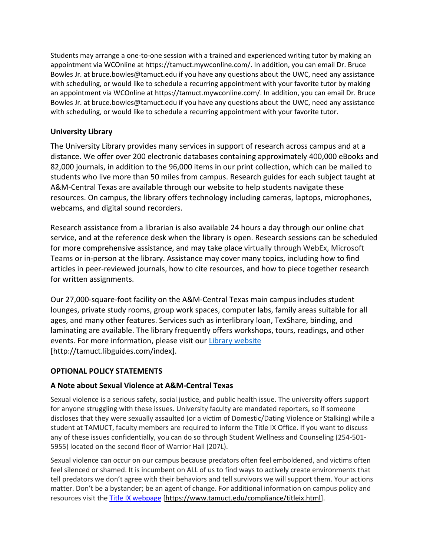Students may arrange a one-to-one session with a trained and experienced writing tutor by making an appointment via WCOnline at https://tamuct.mywconline.com/. In addition, you can email Dr. Bruce Bowles Jr. at bruce.bowles@tamuct.edu if you have any questions about the UWC, need any assistance with scheduling, or would like to schedule a recurring appointment with your favorite tutor by making an appointment via WCOnline at https://tamuct.mywconline.com/. In addition, you can email Dr. Bruce Bowles Jr. at bruce.bowles@tamuct.edu if you have any questions about the UWC, need any assistance with scheduling, or would like to schedule a recurring appointment with your favorite tutor.

# **University Library**

The University Library provides many services in support of research across campus and at a distance. We offer over 200 electronic databases containing approximately 400,000 eBooks and 82,000 journals, in addition to the 96,000 items in our print collection, which can be mailed to students who live more than 50 miles from campus. Research guides for each subject taught at A&M-Central Texas are available through our website to help students navigate these resources. On campus, the library offers technology including cameras, laptops, microphones, webcams, and digital sound recorders.

Research assistance from a librarian is also available 24 hours a day through our online chat service, and at the reference desk when the library is open. Research sessions can be scheduled for more comprehensive assistance, and may take place virtually through WebEx, Microsoft Teams or in-person at the library. Assistance may cover many topics, including how to find articles in peer-reviewed journals, how to cite resources, and how to piece together research for written assignments.

Our 27,000-square-foot facility on the A&M-Central Texas main campus includes student lounges, private study rooms, group work spaces, computer labs, family areas suitable for all ages, and many other features. Services such as interlibrary loan, TexShare, binding, and laminating are available. The library frequently offers workshops, tours, readings, and other events. For more information, please visit our Library [website](https://nam04.safelinks.protection.outlook.com/?url=https%3A%2F%2Ftamuct.libguides.com%2Findex&data=04%7C01%7Clisa.bunkowski%40tamuct.edu%7C7d8489e8839a4915335f08d916f067f2%7C9eed4e3000f744849ff193ad8005acec%7C0%7C0%7C637566044056484222%7CUnknown%7CTWFpbGZsb3d8eyJWIjoiMC4wLjAwMDAiLCJQIjoiV2luMzIiLCJBTiI6Ik1haWwiLCJXVCI6Mn0%3D%7C1000&sdata=2R755V6rcIyedGrd4Os5rkgn1PvhHKU3kUV1vBKiHFo%3D&reserved=0) [http://tamuct.libguides.com/index].

## **OPTIONAL POLICY STATEMENTS**

## **A Note about Sexual Violence at A&M-Central Texas**

Sexual violence is a serious safety, social justice, and public health issue. The university offers support for anyone struggling with these issues. University faculty are mandated reporters, so if someone discloses that they were sexually assaulted (or a victim of Domestic/Dating Violence or Stalking) while a student at TAMUCT, faculty members are required to inform the Title IX Office. If you want to discuss any of these issues confidentially, you can do so through Student Wellness and Counseling (254-501- 5955) located on the second floor of Warrior Hall (207L).

Sexual violence can occur on our campus because predators often feel emboldened, and victims often feel silenced or shamed. It is incumbent on ALL of us to find ways to actively create environments that tell predators we don't agree with their behaviors and tell survivors we will support them. Your actions matter. Don't be a bystander; be an agent of change. For additional information on campus policy and resources visit the [Title IX webpage](https://www.tamuct.edu/compliance/titleix.html) [\[https://www.tamuct.edu/compliance/titleix.html\]](https://www.tamuct.edu/compliance/titleix.html).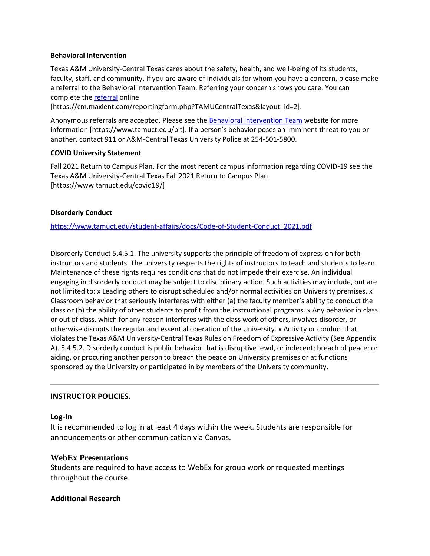#### **Behavioral Intervention**

Texas A&M University-Central Texas cares about the safety, health, and well-being of its students, faculty, staff, and community. If you are aware of individuals for whom you have a concern, please make a referral to the Behavioral Intervention Team. Referring your concern shows you care. You can complete the [referral](https://cm.maxient.com/reportingform.php?TAMUCentralTexas&layout_id=2) online

[https://cm.maxient.com/reportingform.php?TAMUCentralTexas&layout\_id=2].

Anonymous referrals are accepted. Please see th[e Behavioral Intervention Team](https://www.tamuct.edu/bit) website for more information [https://www.tamuct.edu/bit]. If a person's behavior poses an imminent threat to you or another, contact 911 or A&M-Central Texas University Police at 254-501-5800.

#### **COVID University Statement**

Fall 2021 Return to Campus Plan. For the most recent campus information regarding COVID-19 see the Texas A&M University-Central Texas Fall 2021 Return to Campus Plan [https://www.tamuct.edu/covid19/]

### **Disorderly Conduct**

[https://www.tamuct.edu/student-affairs/docs/Code-of-Student-Conduct\\_2021.pdf](https://www.tamuct.edu/student-affairs/docs/Code-of-Student-Conduct_2021.pdf)

Disorderly Conduct 5.4.5.1. The university supports the principle of freedom of expression for both instructors and students. The university respects the rights of instructors to teach and students to learn. Maintenance of these rights requires conditions that do not impede their exercise. An individual engaging in disorderly conduct may be subject to disciplinary action. Such activities may include, but are not limited to: x Leading others to disrupt scheduled and/or normal activities on University premises. x Classroom behavior that seriously interferes with either (a) the faculty member's ability to conduct the class or (b) the ability of other students to profit from the instructional programs. x Any behavior in class or out of class, which for any reason interferes with the class work of others, involves disorder, or otherwise disrupts the regular and essential operation of the University. x Activity or conduct that violates the Texas A&M University-Central Texas Rules on Freedom of Expressive Activity (See Appendix A). 5.4.5.2. Disorderly conduct is public behavior that is disruptive lewd, or indecent; breach of peace; or aiding, or procuring another person to breach the peace on University premises or at functions sponsored by the University or participated in by members of the University community.

## **INSTRUCTOR POLICIES.**

#### **Log-In**

It is recommended to log in at least 4 days within the week. Students are responsible for announcements or other communication via Canvas.

#### **WebEx Presentations**

Students are required to have access to WebEx for group work or requested meetings throughout the course.

## **Additional Research**